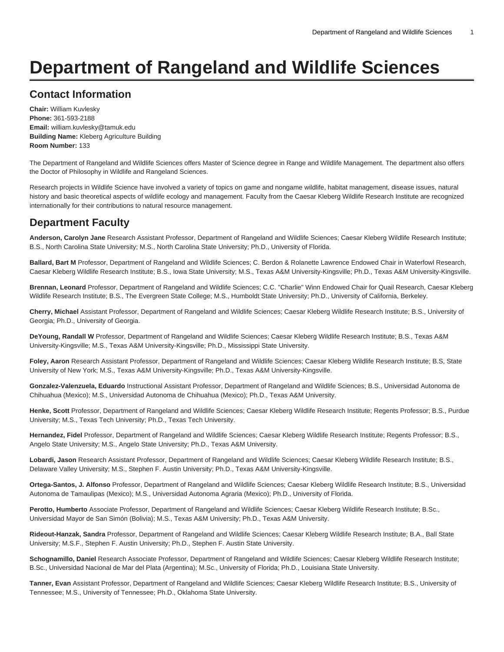# **Department of Rangeland and Wildlife Sciences**

# **Contact Information**

**Chair:** William Kuvlesky **Phone:** 361-593-2188 **Email:** [william.kuvlesky@tamuk.edu](mailto:william.kuvlesky@tamuk.edu) **Building Name:** Kleberg Agriculture Building **Room Number:** 133

The Department of Rangeland and Wildlife Sciences offers Master of Science degree in Range and Wildlife Management. The department also offers the Doctor of Philosophy in Wildlife and Rangeland Sciences.

Research projects in Wildlife Science have involved a variety of topics on game and nongame wildlife, habitat management, disease issues, natural history and basic theoretical aspects of wildlife ecology and management. Faculty from the Caesar Kleberg Wildlife Research Institute are recognized internationally for their contributions to natural resource management.

# **Department Faculty**

**Anderson, Carolyn Jane** Research Assistant Professor, Department of Rangeland and Wildlife Sciences; Caesar Kleberg Wildlife Research Institute; B.S., North Carolina State University; M.S., North Carolina State University; Ph.D., University of Florida.

**Ballard, Bart M** Professor, Department of Rangeland and Wildlife Sciences; C. Berdon & Rolanette Lawrence Endowed Chair in Waterfowl Research, Caesar Kleberg Wildlife Research Institute; B.S., Iowa State University; M.S., Texas A&M University-Kingsville; Ph.D., Texas A&M University-Kingsville.

**Brennan, Leonard** Professor, Department of Rangeland and Wildlife Sciences; C.C. "Charlie" Winn Endowed Chair for Quail Research, Caesar Kleberg Wildlife Research Institute; B.S., The Evergreen State College; M.S., Humboldt State University; Ph.D., University of California, Berkeley.

**Cherry, Michael** Assistant Professor, Department of Rangeland and Wildlife Sciences; Caesar Kleberg Wildlife Research Institute; B.S., University of Georgia; Ph.D., University of Georgia.

**DeYoung, Randall W** Professor, Department of Rangeland and Wildlife Sciences; Caesar Kleberg Wildlife Research Institute; B.S., Texas A&M University-Kingsville; M.S., Texas A&M University-Kingsville; Ph.D., Mississippi State University.

**Foley, Aaron** Research Assistant Professor, Department of Rangeland and Wildlife Sciences; Caesar Kleberg Wildlife Research Institute; B.S, State University of New York; M.S., Texas A&M University-Kingsville; Ph.D., Texas A&M University-Kingsville.

**Gonzalez-Valenzuela, Eduardo** Instructional Assistant Professor, Department of Rangeland and Wildlife Sciences; B.S., Universidad Autonoma de Chihuahua (Mexico); M.S., Universidad Autonoma de Chihuahua (Mexico); Ph.D., Texas A&M University.

**Henke, Scott** Professor, Department of Rangeland and Wildlife Sciences; Caesar Kleberg Wildlife Research Institute; Regents Professor; B.S., Purdue University; M.S., Texas Tech University; Ph.D., Texas Tech University.

**Hernandez, Fidel** Professor, Department of Rangeland and Wildlife Sciences; Caesar Kleberg Wildlife Research Institute; Regents Professor; B.S., Angelo State University; M.S., Angelo State University; Ph.D., Texas A&M University.

**Lobardi, Jason** Research Assistant Professor, Department of Rangeland and Wildlife Sciences; Caesar Kleberg Wildlife Research Institute; B.S., Delaware Valley University; M.S., Stephen F. Austin University; Ph.D., Texas A&M University-Kingsville.

**Ortega-Santos, J. Alfonso** Professor, Department of Rangeland and Wildlife Sciences; Caesar Kleberg Wildlife Research Institute; B.S., Universidad Autonoma de Tamaulipas (Mexico); M.S., Universidad Autonoma Agraria (Mexico); Ph.D., University of Florida.

**Perotto, Humberto** Associate Professor, Department of Rangeland and Wildlife Sciences; Caesar Kleberg Wildlife Research Institute; B.Sc., Universidad Mayor de San Simón (Bolivia); M.S., Texas A&M University; Ph.D., Texas A&M University.

**Rideout-Hanzak, Sandra** Professor, Department of Rangeland and Wildlife Sciences; Caesar Kleberg Wildlife Research Institute; B.A., Ball State University; M.S.F., Stephen F. Austin University; Ph.D., Stephen F. Austin State University.

**Schognamillo, Daniel** Research Associate Professor, Department of Rangeland and Wildlife Sciences; Caesar Kleberg Wildlife Research Institute; B.Sc., Universidad Nacional de Mar del Plata (Argentina); M.Sc., University of Florida; Ph.D., Louisiana State University.

**Tanner, Evan** Assistant Professor, Department of Rangeland and Wildlife Sciences; Caesar Kleberg Wildlife Research Institute; B.S., University of Tennessee; M.S., University of Tennessee; Ph.D., Oklahoma State University.